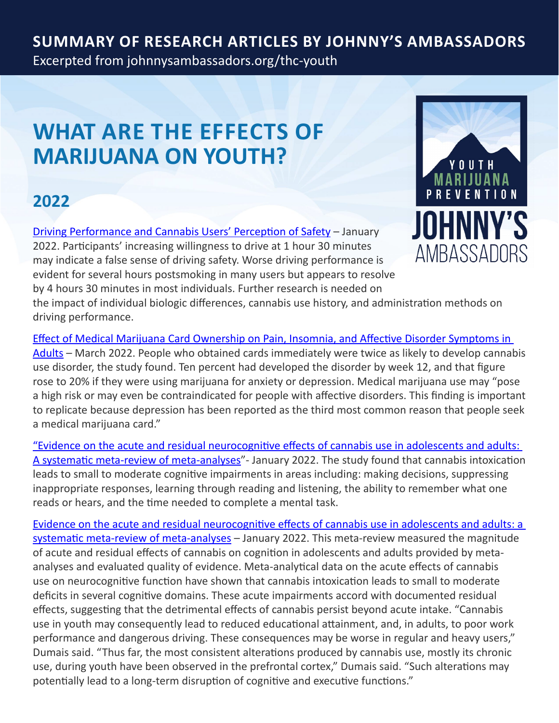## **Summary of Research Articles by Johnny's Ambassadors**

Excerpted from<johnnysambassadors.org/thc-youth>

# **WHAT are the effects OF MARIJUANA ON YOUTH?**

### **2022**

[Driving Performance and Cannabis Users' Perception of Safety](https://jamanetwork.com/journals/jamapsychiatry/fullarticle/2788264?guestAccessKey=7f721ff9-1ea5-44b8-b51d-c9b27b476d06&utm_content=weekly_highlights&utm_term=0129222&utm_source=silverchair&utm_campaign=jama_network&cmp=1&utm_medium=email&s=09) – January 2022. Participants' increasing willingness to drive at 1 hour 30 minutes may indicate a false sense of driving safety. Worse driving performance is evident for several hours postsmoking in many users but appears to resolve by 4 hours 30 minutes in most individuals. Further research is needed on the impact of individual biologic differences, cannabis use history, and administration methods on driving performance.



[Effect of Medical Marijuana Card Ownership on Pain, Insomnia, and Affective Disorder Symptoms in](https://jamanetwork.com/journals/jamanetworkopen/fullarticle/2790261)  [Adults](https://jamanetwork.com/journals/jamanetworkopen/fullarticle/2790261) – March 2022. People who obtained cards immediately were twice as likely to develop cannabis use disorder, the study found. Ten percent had developed the disorder by week 12, and that figure rose to 20% if they were using marijuana for anxiety or depression. Medical marijuana use may "pose a high risk or may even be contraindicated for people with affective disorders. This finding is important to replicate because depression has been reported as the third most common reason that people seek a medical marijuana card."

["Evidence on the acute and residual neurocognitive effects of cannabis use in adolescents and adults:](https://dx.doi.org/10.1111/add.15764)  [A systematic meta-review of meta-analyses"](https://dx.doi.org/10.1111/add.15764)- January 2022. The study found that cannabis intoxication leads to small to moderate cognitive impairments in areas including: making decisions, suppressing inappropriate responses, learning through reading and listening, the ability to remember what one reads or hears, and the time needed to complete a mental task.

[Evidence on the acute and residual neurocognitive effects of cannabis use in adolescents and adults: a](https://onlinelibrary.wiley.com/doi/abs/10.1111/add.15764)  [systematic meta-review of meta-analyses](https://onlinelibrary.wiley.com/doi/abs/10.1111/add.15764) - January 2022. This meta-review measured the magnitude of acute and residual effects of cannabis on cognition in adolescents and adults provided by metaanalyses and evaluated quality of evidence. Meta-analytical data on the acute effects of cannabis use on neurocognitive function have shown that cannabis intoxication leads to small to moderate deficits in several cognitive domains. These acute impairments accord with documented residual effects, suggesting that the detrimental effects of cannabis persist beyond acute intake. "Cannabis use in youth may consequently lead to reduced educational attainment, and, in adults, to poor work performance and dangerous driving. These consequences may be worse in regular and heavy users," Dumais said. "Thus far, the most consistent alterations produced by cannabis use, mostly its chronic use, during youth have been observed in the prefrontal cortex," Dumais said. "Such alterations may potentially lead to a long-term disruption of cognitive and executive functions."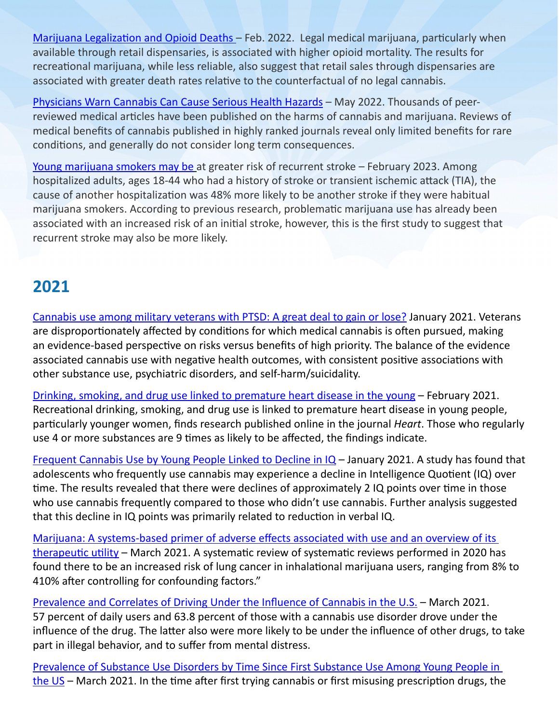[Marijuana Legalization and Opioid Deaths](https://www.nber.org/papers/w29802) - Feb. 2022. Legal medical marijuana, particularly when available through retail dispensaries, is associated with higher opioid mortality. The results for recreational marijuana, while less reliable, also suggest that retail sales through dispensaries are associated with greater death rates relative to the counterfactual of no legal cannabis.

[Physicians Warn Cannabis Can Cause Serious Health Hazards](https://www.ncbi.nlm.nih.gov/pmc/articles/PMC8210996/) – May 2022. Thousands of peerreviewed medical articles have been published on the harms of cannabis and marijuana. Reviews of medical benefits of cannabis published in highly ranked journals reveal only limited benefits for rare conditions, and generally do not consider long term consequences.

[Young marijuana smokers may be](https://newsroom.heart.org/news/young-marijuana-smokers-may-be-at-greater-risk-of-recurrent-stroke) at greater risk of recurrent stroke – February 2023. Among hospitalized adults, ages 18-44 who had a history of stroke or transient ischemic attack (TIA), the cause of another hospitalization was 48% more likely to be another stroke if they were habitual marijuana smokers. According to previous research, problematic marijuana use has already been associated with an increased risk of an initial stroke, however, this is the first study to suggest that recurrent stroke may also be more likely.

#### **2021**

[Cannabis use among military veterans with PTSD: A great deal to gain or lose?](https://www.sciencedirect.com/science/article/abs/pii/S0272735821000015) January 2021. Veterans are disproportionately affected by conditions for which medical cannabis is often pursued, making an evidence-based perspective on risks versus benefits of high priority. The balance of the evidence associated cannabis use with negative health outcomes, with consistent positive associations with other substance use, psychiatric disorders, and self-harm/suicidality.

[Drinking, smoking, and drug use linked to premature heart disease in the young](https://www.sciencedaily.com/releases/2021/02/210215211040.htm) – February 2021. Recreational drinking, smoking, and drug use is linked to premature heart disease in young people, particularly younger women, finds research published online in the journal *Heart*. Those who regularly use 4 or more substances are 9 times as likely to be affected, the findings indicate.

[Frequent Cannabis Use by Young People Linked to Decline in IQ](https://neurosciencenews.com/iq-cannabis-17630/?fbclid=IwAR0YASCu3igVymLIHsmu9X_3NuMD7aZcE1birummjPq2_JqMMs1QrMHDrmE) - January 2021. A study has found that adolescents who frequently use cannabis may experience a decline in Intelligence Quotient (IQ) over time. The results revealed that there were declines of approximately 2 IQ points over time in those who use cannabis frequently compared to those who didn't use cannabis. Further analysis suggested that this decline in IQ points was primarily related to reduction in verbal IQ.

[Marijuana: A systems-based primer of adverse effects associated with use and an overview of its](https://journals.sagepub.com/doi/10.1177/20503121211000909)  [therapeutic utility](https://journals.sagepub.com/doi/10.1177/20503121211000909) – March 2021. A systematic review of systematic reviews performed in 2020 has found there to be an increased risk of lung cancer in inhalational marijuana users, ranging from 8% to 410% after controlling for confounding factors."

[Prevalence and Correlates of Driving Under the Influence of Cannabis in the U.S](https://pubmed.ncbi.nlm.nih.gov/33726992/). – March 2021. 57 percent of daily users and 63.8 percent of those with a cannabis use disorder drove under the influence of the drug. The latter also were more likely to be under the influence of other drugs, to take part in illegal behavior, and to suffer from mental distress.

[Prevalence of Substance Use Disorders by Time Since First Substance Use Among Young People in](https://jamanetwork.com/journals/jamapediatrics/article-abstract/2777817)  [the US](https://jamanetwork.com/journals/jamapediatrics/article-abstract/2777817) – March 2021. In the time after first trying cannabis or first misusing prescription drugs, the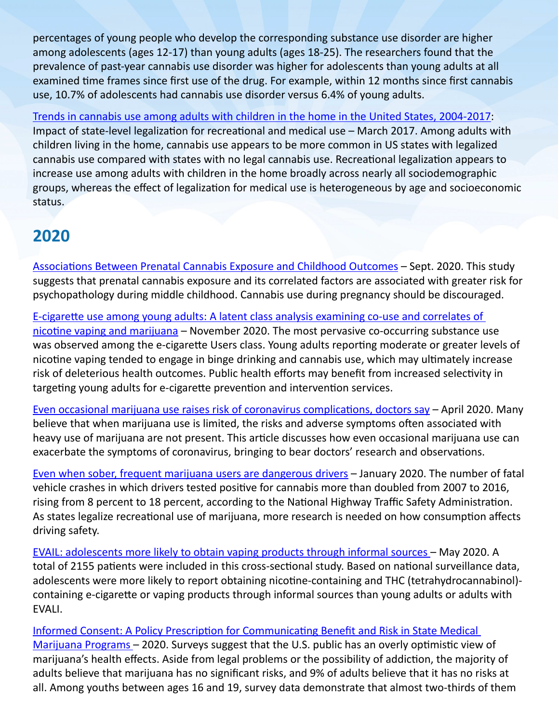percentages of young people who develop the corresponding substance use disorder are higher among adolescents (ages 12-17) than young adults (ages 18-25). The researchers found that the prevalence of past-year cannabis use disorder was higher for adolescents than young adults at all examined time frames since first use of the drug. For example, within 12 months since first cannabis use, 10.7% of adolescents had cannabis use disorder versus 6.4% of young adults.

[Trends in cannabis use among adults with children in the home in the United States, 2004-2017:](https://pubmed.ncbi.nlm.nih.gov/33730400/) Impact of state-level legalization for recreational and medical use – March 2017. Among adults with children living in the home, cannabis use appears to be more common in US states with legalized cannabis use compared with states with no legal cannabis use. Recreational legalization appears to increase use among adults with children in the home broadly across nearly all sociodemographic groups, whereas the effect of legalization for medical use is heterogeneous by age and socioeconomic status.

#### **2020**

Associations Between Prenatal Cannabis Exposure and Childhood Outcomes – Sept. 2020. This study suggests that prenatal cannabis exposure and its correlated factors are associated with greater risk for psychopathology during middle childhood. Cannabis use during pregnancy should be discouraged.

[E-cigarette use among young adults: A latent class analysis examining co-use and correlates of](https://pubmed.ncbi.nlm.nih.gov/32679436/)  [nicotine vaping and marijuana](https://pubmed.ncbi.nlm.nih.gov/32679436/) – November 2020. The most pervasive co-occurring substance use was observed among the e-cigarette Users class. Young adults reporting moderate or greater levels of nicotine vaping tended to engage in binge drinking and cannabis use, which may ultimately increase risk of deleterious health outcomes. Public health efforts may benefit from increased selectivity in targeting young adults for e-cigarette prevention and intervention services.

[Even occasional marijuana use raises risk of coronavirus complications, doctors say](https://www.wfsb.com/even-occasional-marijuana-use-raises-risk-of-coronavirus-complications-doctors-say/article_bc1fa18b-142e-50cf-9353-74b74592e4e6.html) – April 2020. Many believe that when marijuana use is limited, the risks and adverse symptoms often associated with heavy use of marijuana are not present. This article discusses how even occasional marijuana use can exacerbate the symptoms of coronavirus, bringing to bear doctors' research and observations.

[Even when sober, frequent marijuana users are dangerous drivers](https://www.nbcnews.com/health/health-news/even-when-sober-frequent-marijuana-users-are-worse-drivers-report-n1115681) – January 2020. The number of fatal vehicle crashes in which drivers tested positive for cannabis more than doubled from 2007 to 2016, rising from 8 percent to 18 percent, according to the National Highway Traffic Safety Administration. As states legalize recreational use of marijuana, more research is needed on how consumption affects driving safety.

[EVAIL: adolescents more likely to obtain vaping products through informal sources](https://documentcloud.adobe.com/link/track?uri=urn:aaid:scds:US:6360bf14-a612-44e4-af95-9758a791c85c#pageNum=1) – May 2020. A total of 2155 patients were included in this cross-sectional study. Based on national surveillance data, adolescents were more likely to report obtaining nicotine-containing and THC (tetrahydrocannabinol) containing e-cigarette or vaping products through informal sources than young adults or adults with EVALI.

[Informed Consent: A Policy Prescription for Communicating Benefit and Risk in State Medical](http://johnnysambassadors.org/wp-content/uploads/2020/06/Informed-Consent-A-Policy-Prescription-by-Dr.-Erik-Messamore.pdf)  [Marijuana Programs](http://johnnysambassadors.org/wp-content/uploads/2020/06/Informed-Consent-A-Policy-Prescription-by-Dr.-Erik-Messamore.pdf) – 2020. Surveys suggest that the U.S. public has an overly optimistic view of marijuana's health effects. Aside from legal problems or the possibility of addiction, the majority of adults believe that marijuana has no significant risks, and 9% of adults believe that it has no risks at all. Among youths between ages 16 and 19, survey data demonstrate that almost two-thirds of them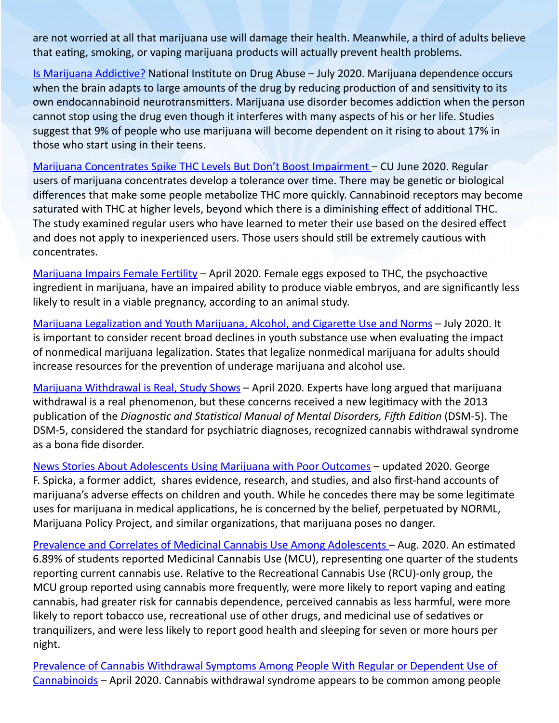are not worried at all that marijuana use will damage their health. Meanwhile, a third of adults believe that eating, smoking, or vaping marijuana products will actually prevent health problems.

[Is Marijuana Addictive?](https://www.drugabuse.gov/publications/research-reports/marijuana/marijuana-addictive) National Institute on Drug Abuse – July 2020. Marijuana dependence occurs when the brain adapts to large amounts of the drug by reducing production of and sensitivity to its own endocannabinoid neurotransmitters. Marijuana use disorder becomes addiction when the person cannot stop using the drug even though it interferes with many aspects of his or her life. Studies suggest that 9% of people who use marijuana will become dependent on it rising to about 17% in those who start using in their teens.

[Marijuana Concentrates Spike THC Levels But Don't Boost Impairment](https://www.sciencedaily.com/releases/2020/06/200610135016.htm) – CU June 2020. Regular users of marijuana concentrates develop a tolerance over time. There may be genetic or biological differences that make some people metabolize THC more quickly. Cannabinoid receptors may become saturated with THC at higher levels, beyond which there is a diminishing effect of additional THC. The study examined regular users who have learned to meter their use based on the desired effect and does not apply to inexperienced users. Those users should still be extremely cautious with concentrates.

[Marijuana Impairs Female Fertility](https://www.sciencedaily.com/releases/2020/04/200402134628.htm?fbclid=IwAR0TIFzD6d9FTLpulWuPRShY8ylI3mqhDiytcCynAoKpjuc9nAbBjOlMWQI) - April 2020. Female eggs exposed to THC, the psychoactive ingredient in marijuana, have an impaired ability to produce viable embryos, and are significantly less likely to result in a viable pregnancy, according to an animal study.

[Marijuana Legalization and Youth Marijuana, Alcohol, and Cigarette Use and Norms](https://www.ajpmonline.org/article/S0749-3797(20)30188-4/fulltext#seccesectitle0013) – July 2020. It is important to consider recent broad declines in youth substance use when evaluating the impact of nonmedical marijuana legalization. States that legalize nonmedical marijuana for adults should increase resources for the prevention of underage marijuana and alcohol use.

[Marijuana Withdrawal is Real, Study Shows](https://www.usnews.com/news/health-news/articles/2020-04-10/marijuana-withdrawal-is-real-study-shows) – April 2020. Experts have long argued that marijuana withdrawal is a real phenomenon, but these concerns received a new legitimacy with the 2013 publication of the *Diagnostic and Statistical Manual of Mental Disorders, Fifth Edition* (DSM-5). The DSM-5, considered the standard for psychiatric diagnoses, recognized cannabis withdrawal syndrome as a bona fide disorder.

[News Stories About Adolescents Using Marijuana with Poor Outcomes](https://georgespicka.weebly.com/marijuana-links.html) – updated 2020. George F. Spicka, a former addict, shares evidence, research, and studies, and also first-hand accounts of marijuana's adverse effects on children and youth. While he concedes there may be some legitimate uses for marijuana in medical applications, he is concerned by the belief, perpetuated by NORML, Marijuana Policy Project, and similar organizations, that marijuana poses no danger.

[Prevalence and Correlates of Medicinal Cannabis Use Among Adolescents](https://pubmed.ncbi.nlm.nih.gov/32830007/) – Aug. 2020. An estimated 6.89% of students reported Medicinal Cannabis Use (MCU), representing one quarter of the students reporting current cannabis use. Relative to the Recreational Cannabis Use (RCU)-only group, the MCU group reported using cannabis more frequently, were more likely to report vaping and eating cannabis, had greater risk for cannabis dependence, perceived cannabis as less harmful, were more likely to report tobacco use, recreational use of other drugs, and medicinal use of sedatives or tranquilizers, and were less likely to report good health and sleeping for seven or more hours per night.

[Prevalence of Cannabis Withdrawal Symptoms Among People With Regular or Dependent Use of](https://www.ncbi.nlm.nih.gov/pmc/articles/PMC7146100/)  [Cannabinoids](https://www.ncbi.nlm.nih.gov/pmc/articles/PMC7146100/) – April 2020. Cannabis withdrawal syndrome appears to be common among people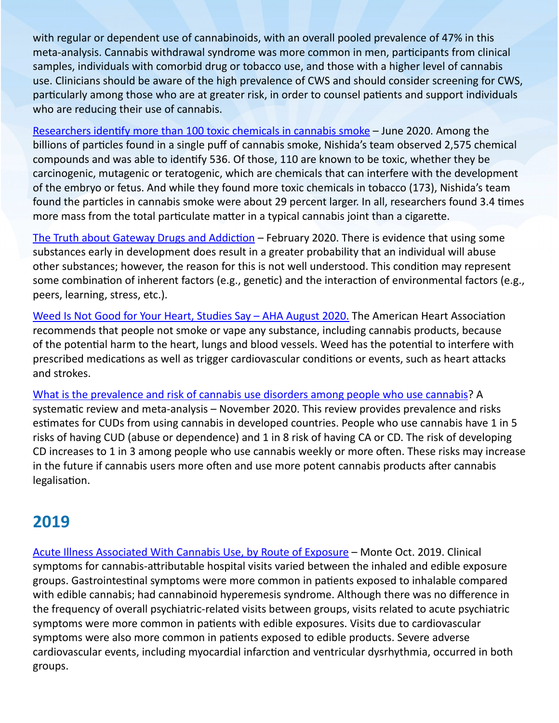with regular or dependent use of cannabinoids, with an overall pooled prevalence of 47% in this meta-analysis. Cannabis withdrawal syndrome was more common in men, participants from clinical samples, individuals with comorbid drug or tobacco use, and those with a higher level of cannabis use. Clinicians should be aware of the high prevalence of CWS and should consider screening for CWS, particularly among those who are at greater risk, in order to counsel patients and support individuals who are reducing their use of cannabis.

[Researchers identify more than 100 toxic chemicals in cannabis smoke](https://medicalxpress.com/news/2020-06-toxic-chemicals-cannabis.html?fbclid=IwAR3OhRsMN5BDWiZjsFlYFqUft4dmCWVwawp4_i2db7i2IjMqlOELGE63is0) – June 2020. Among the billions of particles found in a single puff of cannabis smoke, Nishida's team observed 2,575 chemical compounds and was able to identify 536. Of those, 110 are known to be toxic, whether they be carcinogenic, mutagenic or teratogenic, which are chemicals that can interfere with the development of the embryo or fetus. And while they found more toxic chemicals in tobacco (173), Nishida's team found the particles in cannabis smoke were about 29 percent larger. In all, researchers found 3.4 times more mass from the total particulate matter in a typical cannabis joint than a cigarette.

[The Truth about Gateway Drugs and Addiction](https://americanaddictioncenters.org/the-addiction-cycle/gateway-drugs) – February 2020. There is evidence that using some substances early in development does result in a greater probability that an individual will abuse other substances; however, the reason for this is not well understood. This condition may represent some combination of inherent factors (e.g., genetic) and the interaction of environmental factors (e.g., peers, learning, stress, etc.).

Weed Is Not Good for Your Heart, Studies Say - AHA August 2020. The American Heart Association recommends that people not smoke or vape any substance, including cannabis products, because of the potential harm to the heart, lungs and blood vessels. Weed has the potential to interfere with prescribed medications as well as trigger cardiovascular conditions or events, such as heart attacks and strokes.

[What is the prevalence and risk of cannabis use disorders among people who use cannabis?](https://www.thenmi.org/wp-content/uploads/2020/11/PrevalenceCannabisUseDisorder.May20.2020.-1-s2.0-S0306460320306092-main.pdf) A systematic review and meta-analysis – November 2020. This review provides prevalence and risks estimates for CUDs from using cannabis in developed countries. People who use cannabis have 1 in 5 risks of having CUD (abuse or dependence) and 1 in 8 risk of having CA or CD. The risk of developing CD increases to 1 in 3 among people who use cannabis weekly or more often. These risks may increase in the future if cannabis users more often and use more potent cannabis products after cannabis legalisation.

#### **2019**

[Acute Illness Associated With Cannabis Use, by Route of Exposure](https://www.ncbi.nlm.nih.gov/pmc/articles/PMC6788289/) – Monte Oct. 2019. Clinical symptoms for cannabis-attributable hospital visits varied between the inhaled and edible exposure groups. Gastrointestinal symptoms were more common in patients exposed to inhalable compared with edible cannabis; had cannabinoid hyperemesis syndrome. Although there was no difference in the frequency of overall psychiatric-related visits between groups, visits related to acute psychiatric symptoms were more common in patients with edible exposures. Visits due to cardiovascular symptoms were also more common in patients exposed to edible products. Severe adverse cardiovascular events, including myocardial infarction and ventricular dysrhythmia, occurred in both groups.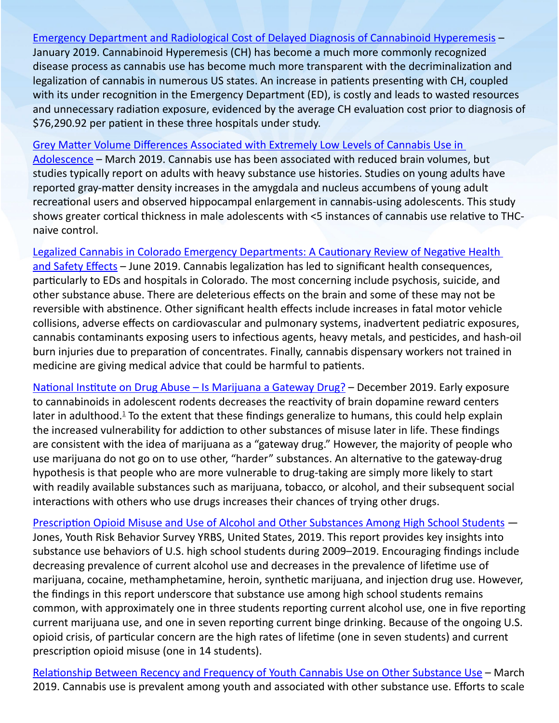[Emergency Department and Radiological Cost of Delayed Diagnosis of Cannabinoid Hyperemesis](https://www.ncbi.nlm.nih.gov/pmc/articles/PMC6339733/) – January 2019. Cannabinoid Hyperemesis (CH) has become a much more commonly recognized disease process as cannabis use has become much more transparent with the decriminalization and legalization of cannabis in numerous US states. An increase in patients presenting with CH, coupled with its under recognition in the Emergency Department (ED), is costly and leads to wasted resources and unnecessary radiation exposure, evidenced by the average CH evaluation cost prior to diagnosis of \$76,290.92 per patient in these three hospitals under study.

[Grey Matter Volume Differences Associated with Extremely Low Levels of Cannabis Use in](https://www.jneurosci.org/content/39/10/1817) 

[Adolescence](https://www.jneurosci.org/content/39/10/1817) – March 2019. Cannabis use has been associated with reduced brain volumes, but studies typically report on adults with heavy substance use histories. Studies on young adults have reported gray-matter density increases in the amygdala and nucleus accumbens of young adult recreational users and observed hippocampal enlargement in cannabis-using adolescents. This study shows greater cortical thickness in male adolescents with <5 instances of cannabis use relative to THCnaive control.

[Legalized Cannabis in Colorado Emergency Departments: A Cautionary Review of Negative Health](https://www.ncbi.nlm.nih.gov/pmc/articles/PMC6625695/?fbclid=IwAR09_UaAiQLoi4AZsWszabHGAI-jZloHhVbzFKbIhibnhLzh0a2u92Y227A)  [and Safety Effects](https://www.ncbi.nlm.nih.gov/pmc/articles/PMC6625695/?fbclid=IwAR09_UaAiQLoi4AZsWszabHGAI-jZloHhVbzFKbIhibnhLzh0a2u92Y227A) - June 2019. Cannabis legalization has led to significant health consequences, particularly to EDs and hospitals in Colorado. The most concerning include psychosis, suicide, and other substance abuse. There are deleterious effects on the brain and some of these may not be reversible with abstinence. Other significant health effects include increases in fatal motor vehicle collisions, adverse effects on cardiovascular and pulmonary systems, inadvertent pediatric exposures, cannabis contaminants exposing users to infectious agents, heavy metals, and pesticides, and hash-oil burn injuries due to preparation of concentrates. Finally, cannabis dispensary workers not trained in medicine are giving medical advice that could be harmful to patients.

National Institute on Drug Abuse – Is Marijuana a Gateway Drug? – December 2019. Early exposure to cannabinoids in adolescent rodents decreases the reactivity of brain dopamine reward centers later in adulthood.<sup>[1](https://www.drugabuse.gov/publications/research-reports/marijuana/references)</sup> To the extent that these findings generalize to humans, this could help explain the increased vulnerability for addiction to other substances of misuse later in life. These findings are consistent with the idea of marijuana as a "gateway drug." However, the majority of people who use marijuana do not go on to use other, "harder" substances. An alternative to the gateway-drug hypothesis is that people who are more vulnerable to drug-taking are simply more likely to start with readily available substances such as marijuana, tobacco, or alcohol, and their subsequent social interactions with others who use drugs increases their chances of trying other drugs.

[Prescription Opioid Misuse and Use of Alcohol and Other Substances Among High School Students](https://www.cdc.gov/mmwr/volumes/69/su/su6901a5.htm?s_cid=su6901a5_w) — Jones, Youth Risk Behavior Survey YRBS, United States, 2019. This report provides key insights into substance use behaviors of U.S. high school students during 2009–2019. Encouraging findings include decreasing prevalence of current alcohol use and decreases in the prevalence of lifetime use of marijuana, cocaine, methamphetamine, heroin, synthetic marijuana, and injection drug use. However, the findings in this report underscore that substance use among high school students remains common, with approximately one in three students reporting current alcohol use, one in five reporting current marijuana use, and one in seven reporting current binge drinking. Because of the ongoing U.S. opioid crisis, of particular concern are the high rates of lifetime (one in seven students) and current prescription opioid misuse (one in 14 students).

[Relationship Between Recency and Frequency of Youth Cannabis Use on Other Substance Use](https://www.sciencedirect.com/science/article/abs/pii/S1054139X18304324) – March 2019. Cannabis use is prevalent among youth and associated with other substance use. Efforts to scale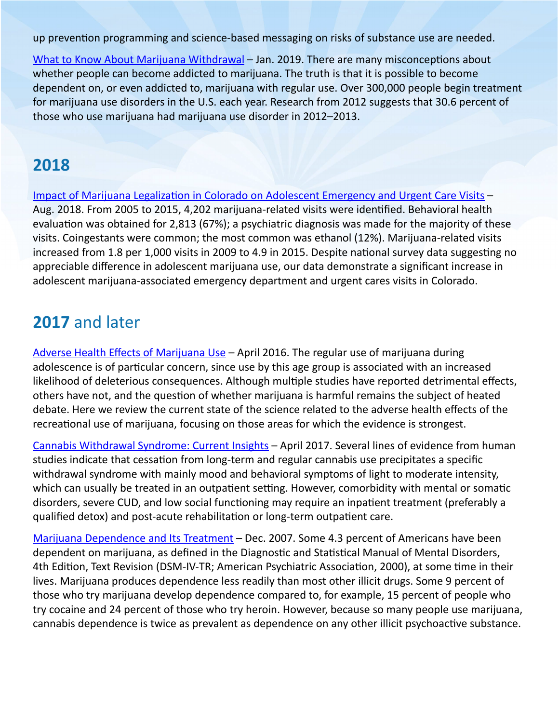up prevention programming and science-based messaging on risks of substance use are needed.

[What to Know About Marijuana Withdrawal](https://www.medicalnewstoday.com/articles/324301#withdrawal-symptoms) - Jan. 2019. There are many misconceptions about whether people can become addicted to marijuana. The truth is that it is possible to become dependent on, or even addicted to, marijuana with regular use. Over 300,000 people begin treatment for marijuana use disorders in the U.S. each year. Research from 2012 suggests that 30.6 percent of those who use marijuana had marijuana use disorder in 2012–2013.

#### **2018**

[Impact of Marijuana Legalization in Colorado on Adolescent Emergency and Urgent Care Visits](https://pubmed.ncbi.nlm.nih.gov/29609916/) – Aug. 2018. From 2005 to 2015, 4,202 marijuana-related visits were identified. Behavioral health evaluation was obtained for 2,813 (67%); a psychiatric diagnosis was made for the majority of these visits. Coingestants were common; the most common was ethanol (12%). Marijuana-related visits increased from 1.8 per 1,000 visits in 2009 to 4.9 in 2015. Despite national survey data suggesting no appreciable difference in adolescent marijuana use, our data demonstrate a significant increase in adolescent marijuana-associated emergency department and urgent cares visits in Colorado.

#### **2017** and later

[Adverse Health Effects of Marijuana Use](https://www.ncbi.nlm.nih.gov/pmc/articles/PMC4827335/) – April 2016. The regular use of marijuana during adolescence is of particular concern, since use by this age group is associated with an increased likelihood of deleterious consequences. Although multiple studies have reported detrimental effects, others have not, and the question of whether marijuana is harmful remains the subject of heated debate. Here we review the current state of the science related to the adverse health effects of the recreational use of marijuana, focusing on those areas for which the evidence is strongest.

[Cannabis Withdrawal Syndrome: Current Insights](https://www.ncbi.nlm.nih.gov/pmc/articles/PMC5414724/) – April 2017. Several lines of evidence from human studies indicate that cessation from long-term and regular cannabis use precipitates a specific withdrawal syndrome with mainly mood and behavioral symptoms of light to moderate intensity, which can usually be treated in an outpatient setting. However, comorbidity with mental or somatic disorders, severe CUD, and low social functioning may require an inpatient treatment (preferably a qualified detox) and post-acute rehabilitation or long-term outpatient care.

[Marijuana Dependence and Its Treatment](https://www.ncbi.nlm.nih.gov/pmc/articles/PMC2797098/pdf/ascp-04-1-4.pdf) – Dec. 2007. Some 4.3 percent of Americans have been dependent on marijuana, as defined in the Diagnostic and Statistical Manual of Mental Disorders, 4th Edition, Text Revision (DSM-IV-TR; American Psychiatric Association, 2000), at some time in their lives. Marijuana produces dependence less readily than most other illicit drugs. Some 9 percent of those who try marijuana develop dependence compared to, for example, 15 percent of people who try cocaine and 24 percent of those who try heroin. However, because so many people use marijuana, cannabis dependence is twice as prevalent as dependence on any other illicit psychoactive substance.